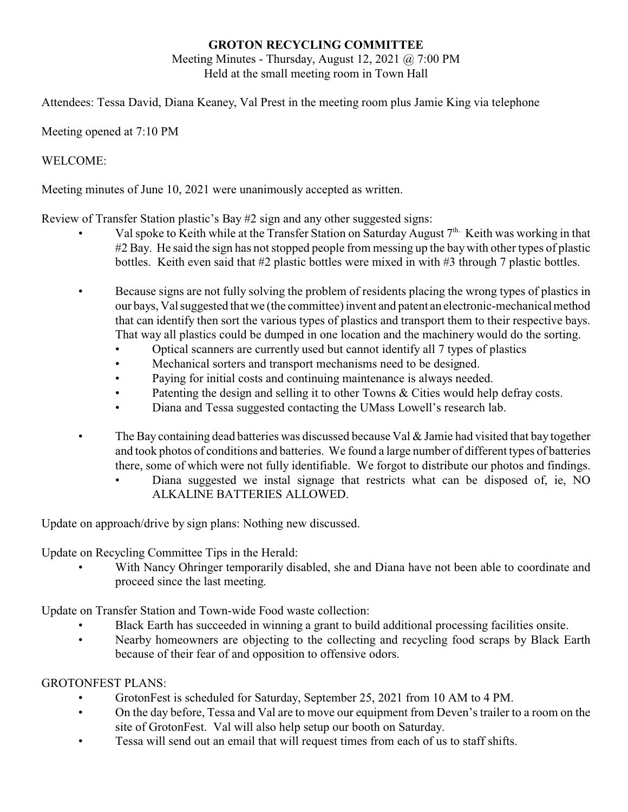# **GROTON RECYCLING COMMITTEE**

Meeting Minutes - Thursday, August 12, 2021 @ 7:00 PM Held at the small meeting room in Town Hall

Attendees: Tessa David, Diana Keaney, Val Prest in the meeting room plus Jamie King via telephone

## Meeting opened at 7:10 PM

## WELCOME:

Meeting minutes of June 10, 2021 were unanimously accepted as written.

Review of Transfer Station plastic's Bay #2 sign and any other suggested signs:

- Val spoke to Keith while at the Transfer Station on Saturday August 7<sup>th.</sup> Keith was working in that #2 Bay. He said the sign has not stopped people from messing up the bay with other types of plastic bottles. Keith even said that #2 plastic bottles were mixed in with #3 through 7 plastic bottles.
- Because signs are not fully solving the problem of residents placing the wrong types of plastics in our bays, Val suggested that we (the committee) invent and patent an electronic-mechanical method that can identify then sort the various types of plastics and transport them to their respective bays. That way all plastics could be dumped in one location and the machinery would do the sorting.
	- Optical scanners are currently used but cannot identify all 7 types of plastics
	- Mechanical sorters and transport mechanisms need to be designed.
	- Paying for initial costs and continuing maintenance is always needed.
	- Patenting the design and selling it to other Towns & Cities would help defray costs.
	- Diana and Tessa suggested contacting the UMass Lowell's research lab.
- The Bay containing dead batteries was discussed because Val  $\&$  Jamie had visited that bay together and took photos of conditions and batteries. We found a large number of different types of batteries there, some of which were not fully identifiable. We forgot to distribute our photos and findings.
	- Diana suggested we instal signage that restricts what can be disposed of, ie, NO ALKALINE BATTERIES ALLOWED.

Update on approach/drive by sign plans: Nothing new discussed.

Update on Recycling Committee Tips in the Herald:

With Nancy Ohringer temporarily disabled, she and Diana have not been able to coordinate and proceed since the last meeting.

Update on Transfer Station and Town-wide Food waste collection:

- Black Earth has succeeded in winning a grant to build additional processing facilities onsite.
- Nearby homeowners are objecting to the collecting and recycling food scraps by Black Earth because of their fear of and opposition to offensive odors.

#### GROTONFEST PLANS:

- GrotonFest is scheduled for Saturday, September 25, 2021 from 10 AM to 4 PM.
- On the day before, Tessa and Val are to move our equipment from Deven's trailer to a room on the site of GrotonFest. Val will also help setup our booth on Saturday.
- Tessa will send out an email that will request times from each of us to staff shifts.